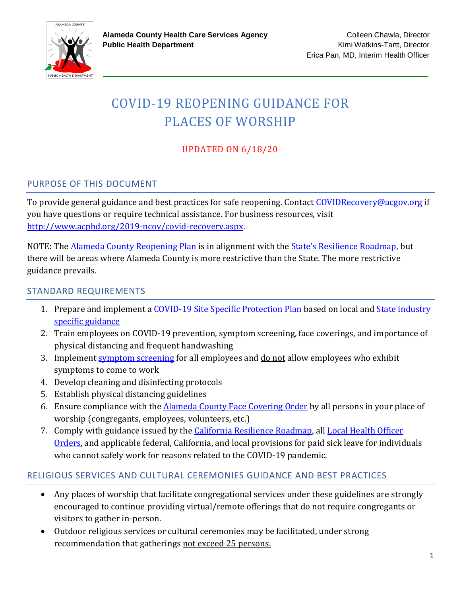

# COVID-19 REOPENING GUIDANCE FOR PLACES OF WORSHIP

### UPDATED ON 6/18/20

#### PURPOSE OF THIS DOCUMENT

To provide general guidance and best practices for safe reopening. Contact [COVIDRecovery@acgov.org](mailto:COVIDRecovery@acgov.org) if you have questions or require technical assistance. For business resources, visit [http://www.acphd.org/2019-ncov/covid-recovery.aspx.](http://www.acphd.org/2019-ncov/covid-recovery.aspx) 

NOTE: The [Alameda County Reopening Plan](http://www.acphd.org/media/584319/alameda-county-covid-19-reopening-plan-english.pdf) is in alignment with the [State's Resilience Roadmap](https://covid19.ca.gov/roadmap/), but there will be areas where Alameda County is more restrictive than the State. The more restrictive guidance prevails.

#### STANDARD REQUIREMENTS

- 1. Prepare and implement a [COVID-19 Site Specific Protection Plan](http://www.acphd.org/2019-ncov/health-officer-orders.aspx) based on local and State industry [specific guidance](https://covid19.ca.gov/pdf/guidance-places-of-worship.pdf)
- 2. Train employees on COVID-19 prevention, symptom screening, face coverings, and importance of physical distancing and frequent handwashing
- 3. Implement [symptom screening](http://www.acphd.org/media/585461/acphd-covid-19-screening-guidance-for-employers-english.pdf) for all employees and do not allow employees who exhibit symptoms to come to work
- 4. Develop cleaning and disinfecting protocols
- 5. Establish physical distancing guidelines
- 6. Ensure compliance with the Alameda [County Face Covering Order](http://www.acphd.org/2019-ncov/health-officer-orders.aspx) by all persons in your place of worship (congregants, employees, volunteers, etc.)
- 7. Comply with guidance issued by the *California Resilience Roadmap*, all *Local Health Officer* [Orders,](http://www.acphd.org/2019-ncov/health-officer-orders.aspx) and applicable federal, California, and local provisions for paid sick leave for individuals who cannot safely work for reasons related to the COVID-19 pandemic.

#### RELIGIOUS SERVICES AND CULTURAL CEREMONIES GUIDANCE AND BEST PRACTICES

- Any places of worship that facilitate congregational services under these guidelines are strongly encouraged to continue providing virtual/remote offerings that do not require congregants or visitors to gather in-person.
- Outdoor religious services or cultural ceremonies may be facilitated, under strong recommendation that gatherings not exceed 25 persons.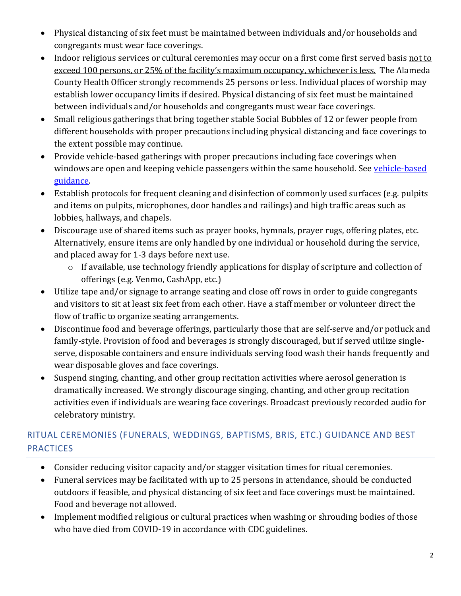- Physical distancing of six feet must be maintained between individuals and/or households and congregants must wear face coverings.
- Indoor religious services or cultural ceremonies may occur on a first come first served basis not to exceed 100 persons, or 25% of the facility's maximum occupancy, whichever is less. The Alameda County Health Officer strongly recommends 25 persons or less. Individual places of worship may establish lower occupancy limits if desired. Physical distancing of six feet must be maintained between individuals and/or households and congregants must wear face coverings.
- Small religious gatherings that bring together stable Social Bubbles of 12 or fewer people from different households with proper precautions including physical distancing and face coverings to the extent possible may continue.
- Provide vehicle-based gatherings with proper precautions including face coverings when windows are open and keeping vehicle passengers within the same household. See vehicle-based [guidance.](http://www.acphd.org/2019-ncov/health-officer-orders.aspx)
- Establish protocols for frequent cleaning and disinfection of commonly used surfaces (e.g. pulpits and items on pulpits, microphones, door handles and railings) and high traffic areas such as lobbies, hallways, and chapels.
- Discourage use of shared items such as prayer books, hymnals, prayer rugs, offering plates, etc. Alternatively, ensure items are only handled by one individual or household during the service, and placed away for 1-3 days before next use.
	- o If available, use technology friendly applications for display of scripture and collection of offerings (e.g. Venmo, CashApp, etc.)
- Utilize tape and/or signage to arrange seating and close off rows in order to guide congregants and visitors to sit at least six feet from each other. Have a staff member or volunteer direct the flow of traffic to organize seating arrangements.
- Discontinue food and beverage offerings, particularly those that are self-serve and/or potluck and family-style. Provision of food and beverages is strongly discouraged, but if served utilize singleserve, disposable containers and ensure individuals serving food wash their hands frequently and wear disposable gloves and face coverings.
- Suspend singing, chanting, and other group recitation activities where aerosol generation is dramatically increased. We strongly discourage singing, chanting, and other group recitation activities even if individuals are wearing face coverings. Broadcast previously recorded audio for celebratory ministry.

## RITUAL CEREMONIES (FUNERALS, WEDDINGS, BAPTISMS, BRIS, ETC.) GUIDANCE AND BEST **PRACTICES**

- Consider reducing visitor capacity and/or stagger visitation times for ritual ceremonies.
- Funeral services may be facilitated with up to 25 persons in attendance, should be conducted outdoors if feasible, and physical distancing of six feet and face coverings must be maintained. Food and beverage not allowed.
- Implement modified religious or cultural practices when washing or shrouding bodies of those who have died from COVID-19 in accordance with CDC guidelines.